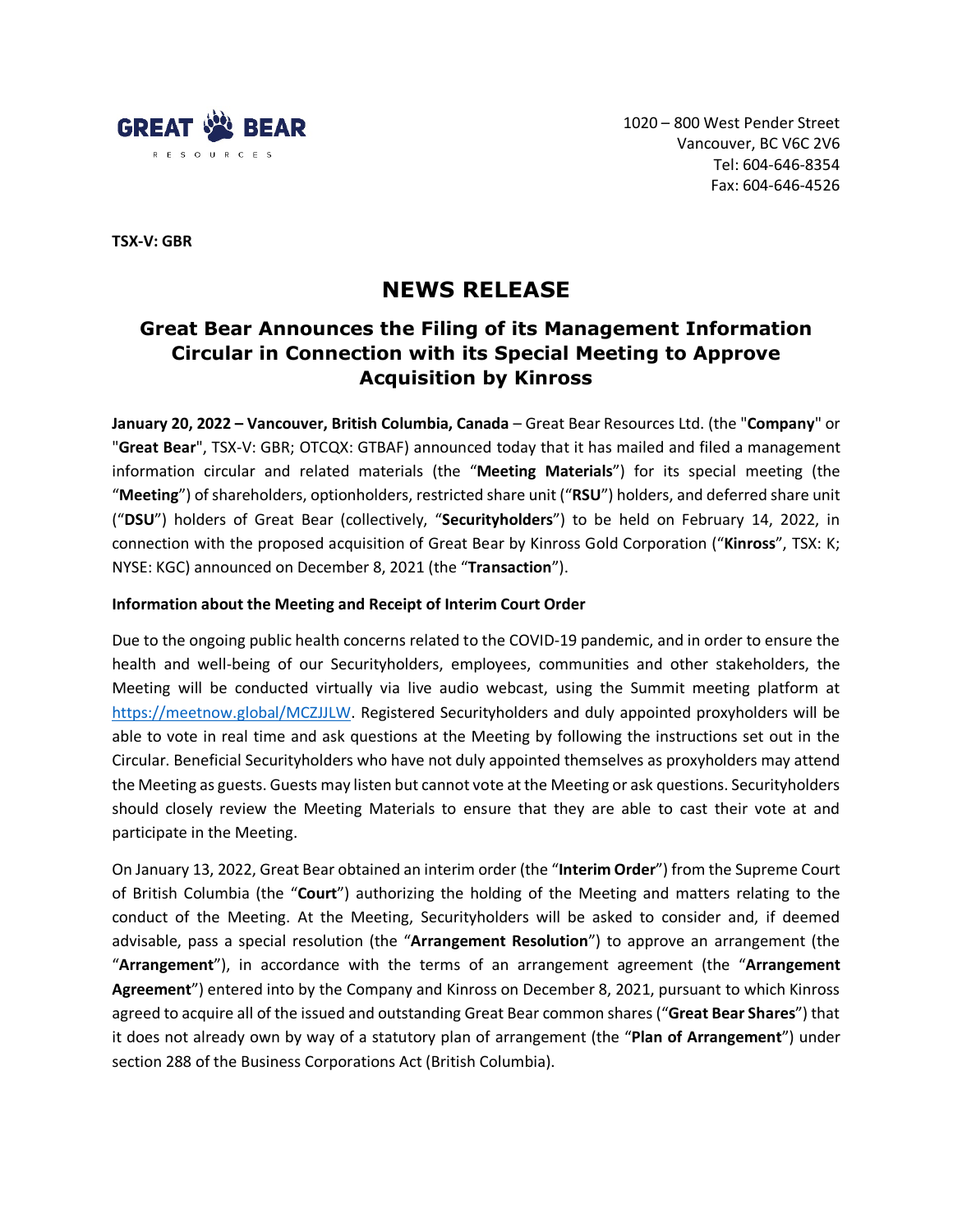

**TSX-V: GBR**

# **NEWS RELEASE**

# **Great Bear Announces the Filing of its Management Information Circular in Connection with its Special Meeting to Approve Acquisition by Kinross**

**January 20, 2022 – Vancouver, British Columbia, Canada** – Great Bear Resources Ltd. (the "**Company**" or "**Great Bear**", TSX-V: GBR; OTCQX: GTBAF) announced today that it has mailed and filed a management information circular and related materials (the "**Meeting Materials**") for its special meeting (the "**Meeting**") of shareholders, optionholders, restricted share unit ("**RSU**") holders, and deferred share unit ("**DSU**") holders of Great Bear (collectively, "**Securityholders**") to be held on February 14, 2022, in connection with the proposed acquisition of Great Bear by Kinross Gold Corporation ("**Kinross**", TSX: K; NYSE: KGC) announced on December 8, 2021 (the "**Transaction**").

#### **Information about the Meeting and Receipt of Interim Court Order**

Due to the ongoing public health concerns related to the COVID-19 pandemic, and in order to ensure the health and well-being of our Securityholders, employees, communities and other stakeholders, the Meeting will be conducted virtually via live audio webcast, using the Summit meeting platform at [https://meetnow.global/MCZJJLW.](https://meetnow.global/MCZJJLW) Registered Securityholders and duly appointed proxyholders will be able to vote in real time and ask questions at the Meeting by following the instructions set out in the Circular. Beneficial Securityholders who have not duly appointed themselves as proxyholders may attend the Meeting as guests. Guests may listen but cannot vote at the Meeting or ask questions. Securityholders should closely review the Meeting Materials to ensure that they are able to cast their vote at and participate in the Meeting.

On January 13, 2022, Great Bear obtained an interim order (the "**Interim Order**") from the Supreme Court of British Columbia (the "**Court**") authorizing the holding of the Meeting and matters relating to the conduct of the Meeting. At the Meeting, Securityholders will be asked to consider and, if deemed advisable, pass a special resolution (the "**Arrangement Resolution**") to approve an arrangement (the "**Arrangement**"), in accordance with the terms of an arrangement agreement (the "**Arrangement Agreement**") entered into by the Company and Kinross on December 8, 2021, pursuant to which Kinross agreed to acquire all of the issued and outstanding Great Bear common shares ("**Great Bear Shares**") that it does not already own by way of a statutory plan of arrangement (the "**Plan of Arrangement**") under section 288 of the Business Corporations Act (British Columbia).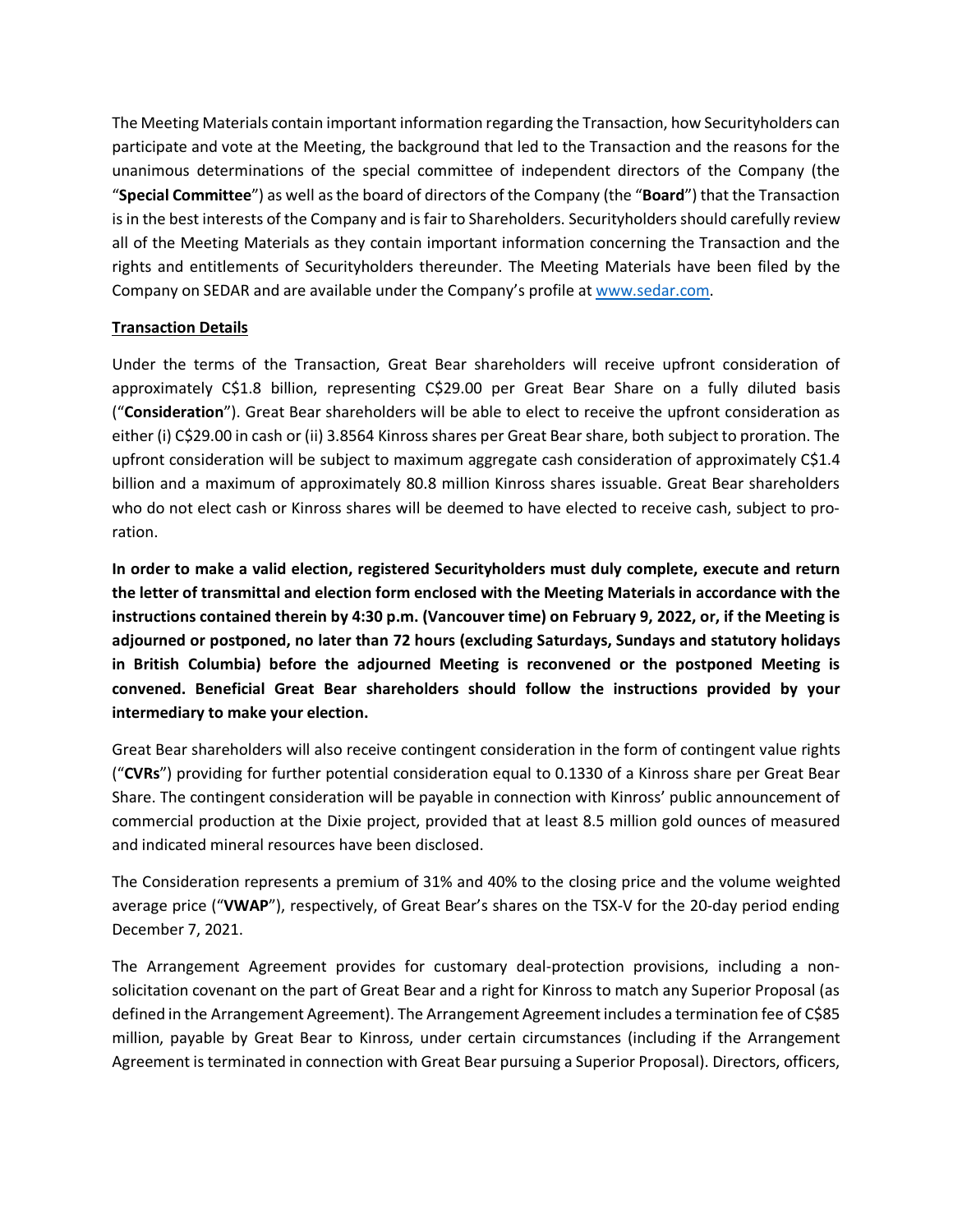The Meeting Materials contain important information regarding the Transaction, how Securityholders can participate and vote at the Meeting, the background that led to the Transaction and the reasons for the unanimous determinations of the special committee of independent directors of the Company (the "**Special Committee**") as well as the board of directors of the Company (the "**Board**") that the Transaction is in the best interests of the Company and is fair to Shareholders. Securityholders should carefully review all of the Meeting Materials as they contain important information concerning the Transaction and the rights and entitlements of Securityholders thereunder. The Meeting Materials have been filed by the Company on SEDAR and are available under the Company's profile at [www.sedar.com.](http://www.sedar.com/)

#### **Transaction Details**

Under the terms of the Transaction, Great Bear shareholders will receive upfront consideration of approximately C\$1.8 billion, representing C\$29.00 per Great Bear Share on a fully diluted basis ("**Consideration**"). Great Bear shareholders will be able to elect to receive the upfront consideration as either (i) C\$29.00 in cash or (ii) 3.8564 Kinross shares per Great Bear share, both subject to proration. The upfront consideration will be subject to maximum aggregate cash consideration of approximately C\$1.4 billion and a maximum of approximately 80.8 million Kinross shares issuable. Great Bear shareholders who do not elect cash or Kinross shares will be deemed to have elected to receive cash, subject to proration.

**In order to make a valid election, registered Securityholders must duly complete, execute and return the letter of transmittal and election form enclosed with the Meeting Materials in accordance with the instructions contained therein by 4:30 p.m. (Vancouver time) on February 9, 2022, or, if the Meeting is adjourned or postponed, no later than 72 hours (excluding Saturdays, Sundays and statutory holidays in British Columbia) before the adjourned Meeting is reconvened or the postponed Meeting is convened. Beneficial Great Bear shareholders should follow the instructions provided by your intermediary to make your election.**

Great Bear shareholders will also receive contingent consideration in the form of contingent value rights ("**CVRs**") providing for further potential consideration equal to 0.1330 of a Kinross share per Great Bear Share. The contingent consideration will be payable in connection with Kinross' public announcement of commercial production at the Dixie project, provided that at least 8.5 million gold ounces of measured and indicated mineral resources have been disclosed.

The Consideration represents a premium of 31% and 40% to the closing price and the volume weighted average price ("**VWAP**"), respectively, of Great Bear's shares on the TSX-V for the 20-day period ending December 7, 2021.

The Arrangement Agreement provides for customary deal-protection provisions, including a nonsolicitation covenant on the part of Great Bear and a right for Kinross to match any Superior Proposal (as defined in the Arrangement Agreement). The Arrangement Agreement includes a termination fee of C\$85 million, payable by Great Bear to Kinross, under certain circumstances (including if the Arrangement Agreement is terminated in connection with Great Bear pursuing a Superior Proposal). Directors, officers,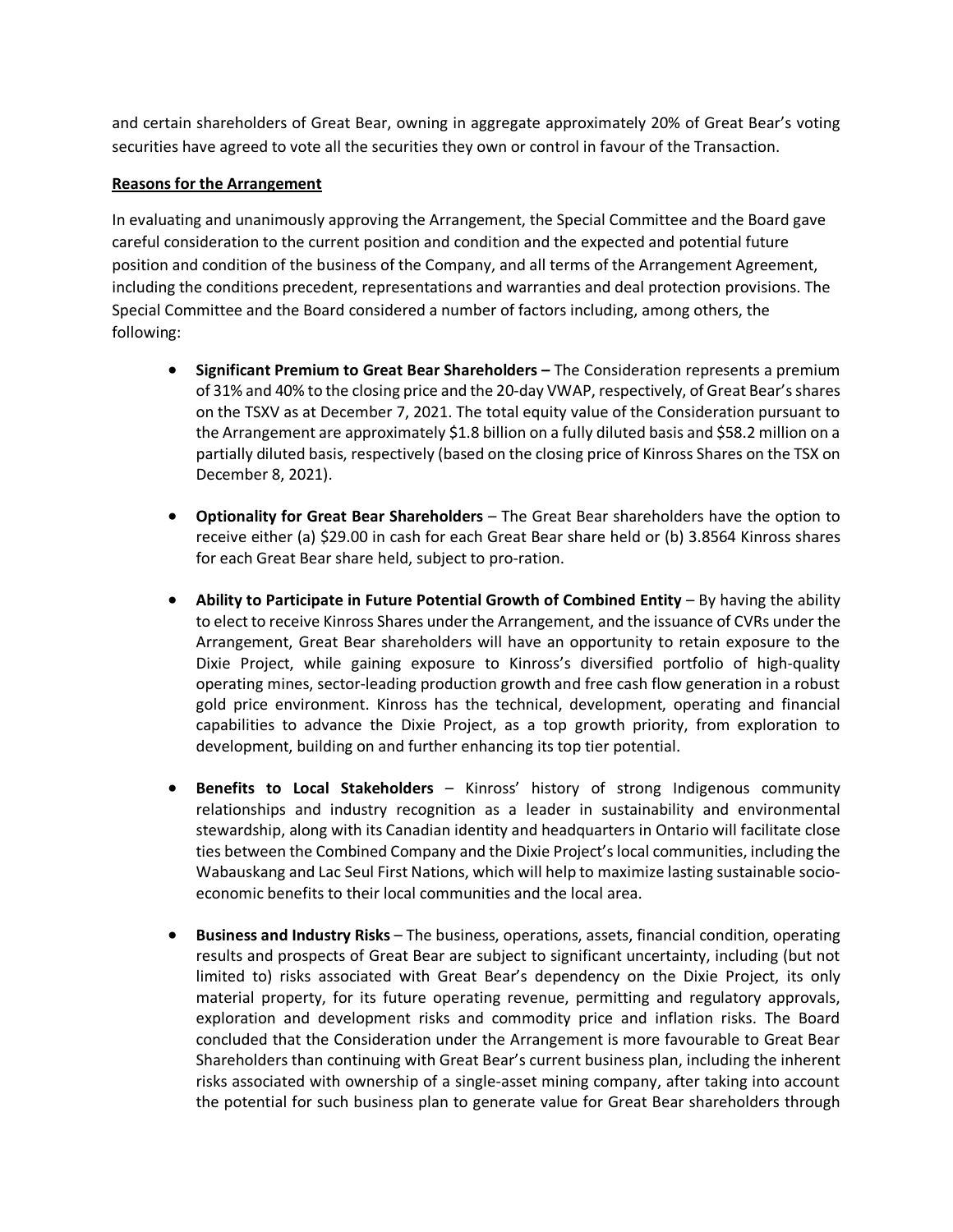and certain shareholders of Great Bear, owning in aggregate approximately 20% of Great Bear's voting securities have agreed to vote all the securities they own or control in favour of the Transaction.

# **Reasons for the Arrangement**

In evaluating and unanimously approving the Arrangement, the Special Committee and the Board gave careful consideration to the current position and condition and the expected and potential future position and condition of the business of the Company, and all terms of the Arrangement Agreement, including the conditions precedent, representations and warranties and deal protection provisions. The Special Committee and the Board considered a number of factors including, among others, the following:

- **Significant Premium to Great Bear Shareholders –** The Consideration represents a premium of 31% and 40% to the closing price and the 20-day VWAP, respectively, of Great Bear's shares on the TSXV as at December 7, 2021. The total equity value of the Consideration pursuant to the Arrangement are approximately \$1.8 billion on a fully diluted basis and \$58.2 million on a partially diluted basis, respectively (based on the closing price of Kinross Shares on the TSX on December 8, 2021).
- **Optionality for Great Bear Shareholders** The Great Bear shareholders have the option to receive either (a) \$29.00 in cash for each Great Bear share held or (b) 3.8564 Kinross shares for each Great Bear share held, subject to pro-ration.
- **Ability to Participate in Future Potential Growth of Combined Entity** By having the ability to elect to receive Kinross Shares under the Arrangement, and the issuance of CVRs under the Arrangement, Great Bear shareholders will have an opportunity to retain exposure to the Dixie Project, while gaining exposure to Kinross's diversified portfolio of high-quality operating mines, sector-leading production growth and free cash flow generation in a robust gold price environment. Kinross has the technical, development, operating and financial capabilities to advance the Dixie Project, as a top growth priority, from exploration to development, building on and further enhancing its top tier potential.
- **Benefits to Local Stakeholders** Kinross' history of strong Indigenous community relationships and industry recognition as a leader in sustainability and environmental stewardship, along with its Canadian identity and headquarters in Ontario will facilitate close ties between the Combined Company and the Dixie Project's local communities, including the Wabauskang and Lac Seul First Nations, which will help to maximize lasting sustainable socioeconomic benefits to their local communities and the local area.
- **Business and Industry Risks** The business, operations, assets, financial condition, operating results and prospects of Great Bear are subject to significant uncertainty, including (but not limited to) risks associated with Great Bear's dependency on the Dixie Project, its only material property, for its future operating revenue, permitting and regulatory approvals, exploration and development risks and commodity price and inflation risks. The Board concluded that the Consideration under the Arrangement is more favourable to Great Bear Shareholders than continuing with Great Bear's current business plan, including the inherent risks associated with ownership of a single-asset mining company, after taking into account the potential for such business plan to generate value for Great Bear shareholders through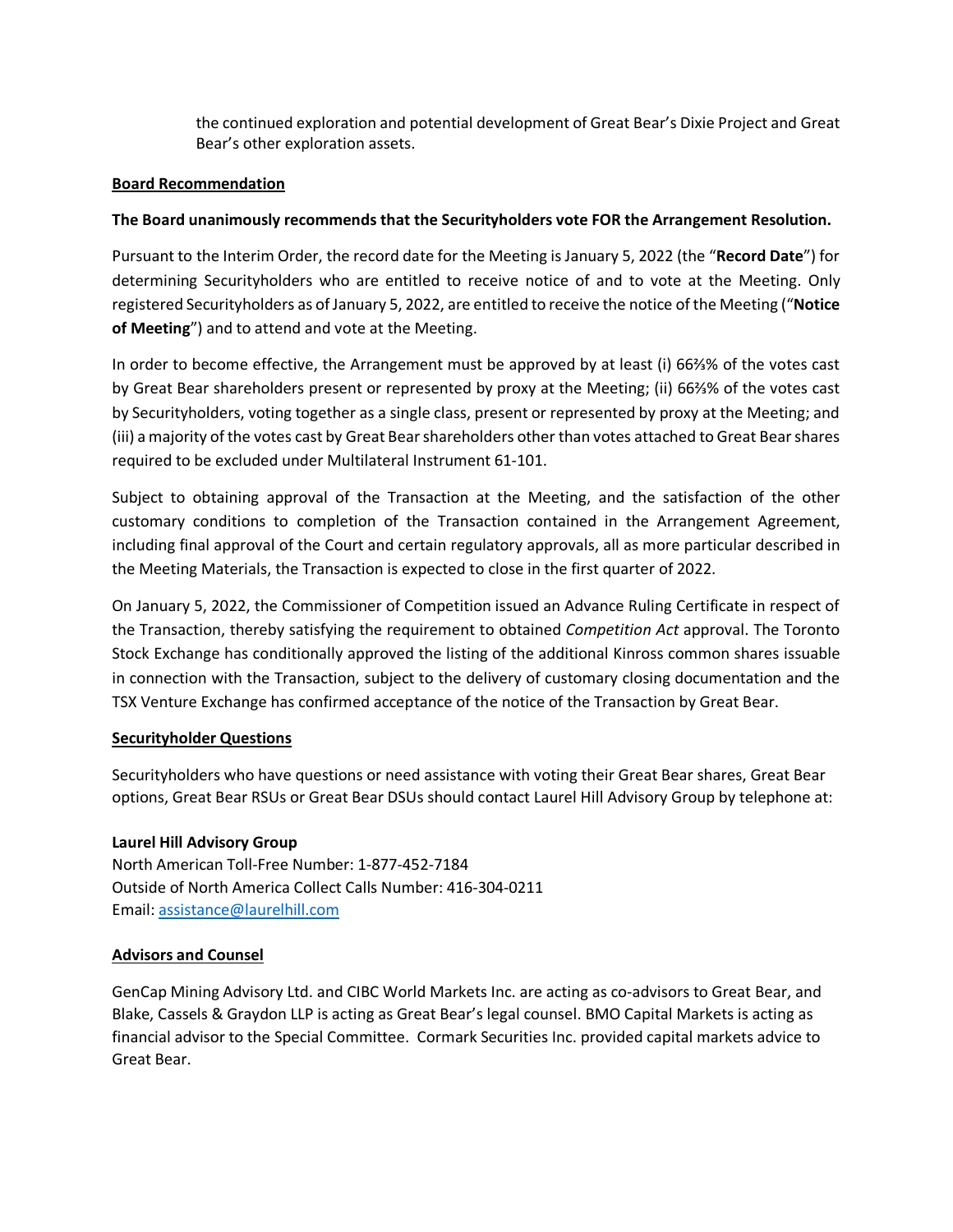the continued exploration and potential development of Great Bear's Dixie Project and Great Bear's other exploration assets.

## **Board Recommendation**

## **The Board unanimously recommends that the Securityholders vote FOR the Arrangement Resolution.**

Pursuant to the Interim Order, the record date for the Meeting is January 5, 2022 (the "**Record Date**") for determining Securityholders who are entitled to receive notice of and to vote at the Meeting. Only registered Securityholders as of January 5, 2022, are entitled to receive the notice of the Meeting ("**Notice of Meeting**") and to attend and vote at the Meeting.

In order to become effective, the Arrangement must be approved by at least (i) 66⅔% of the votes cast by Great Bear shareholders present or represented by proxy at the Meeting; (ii) 66⅔% of the votes cast by Securityholders, voting together as a single class, present or represented by proxy at the Meeting; and (iii) a majority of the votes cast by Great Bear shareholders other than votes attached to Great Bear shares required to be excluded under Multilateral Instrument 61-101.

Subject to obtaining approval of the Transaction at the Meeting, and the satisfaction of the other customary conditions to completion of the Transaction contained in the Arrangement Agreement, including final approval of the Court and certain regulatory approvals, all as more particular described in the Meeting Materials, the Transaction is expected to close in the first quarter of 2022.

On January 5, 2022, the Commissioner of Competition issued an Advance Ruling Certificate in respect of the Transaction, thereby satisfying the requirement to obtained *Competition Act* approval. The Toronto Stock Exchange has conditionally approved the listing of the additional Kinross common shares issuable in connection with the Transaction, subject to the delivery of customary closing documentation and the TSX Venture Exchange has confirmed acceptance of the notice of the Transaction by Great Bear.

#### **Securityholder Questions**

Securityholders who have questions or need assistance with voting their Great Bear shares, Great Bear options, Great Bear RSUs or Great Bear DSUs should contact Laurel Hill Advisory Group by telephone at:

# **Laurel Hill Advisory Group**

North American Toll-Free Number: 1-877-452-7184 Outside of North America Collect Calls Number: 416-304-0211 Email: [assistance@laurelhill.com](mailto:assistance@laurelhill.com)

# **Advisors and Counsel**

GenCap Mining Advisory Ltd. and CIBC World Markets Inc. are acting as co-advisors to Great Bear, and Blake, Cassels & Graydon LLP is acting as Great Bear's legal counsel. BMO Capital Markets is acting as financial advisor to the Special Committee. Cormark Securities Inc. provided capital markets advice to Great Bear.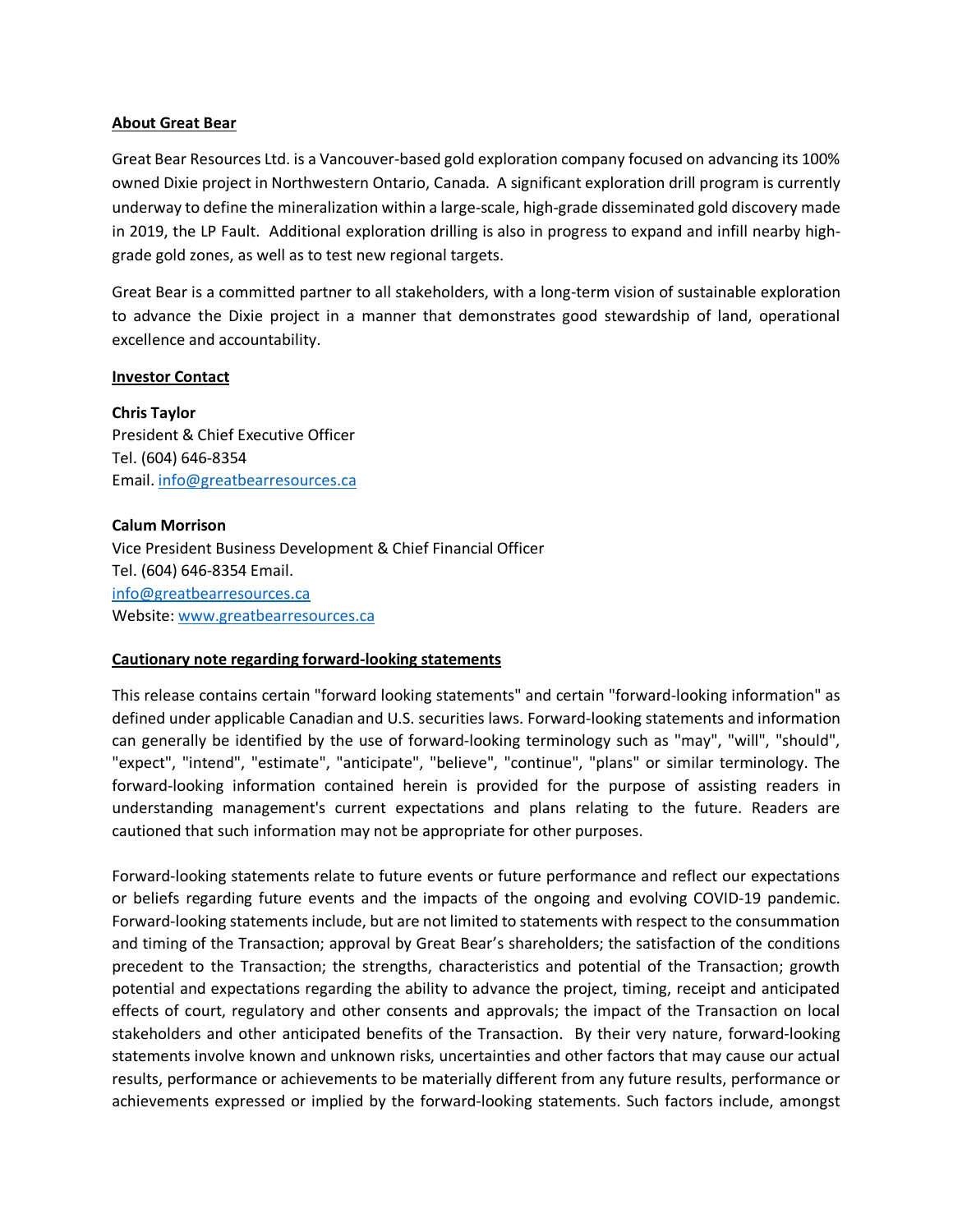#### **About Great Bear**

Great Bear Resources Ltd. is a Vancouver-based gold exploration company focused on advancing its 100% owned Dixie project in Northwestern Ontario, Canada. A significant exploration drill program is currently underway to define the mineralization within a large-scale, high-grade disseminated gold discovery made in 2019, the LP Fault. Additional exploration drilling is also in progress to expand and infill nearby highgrade gold zones, as well as to test new regional targets.

Great Bear is a committed partner to all stakeholders, with a long-term vision of sustainable exploration to advance the Dixie project in a manner that demonstrates good stewardship of land, operational excellence and accountability.

#### **Investor Contact**

**Chris Taylor**  President & Chief Executive Officer Tel. (604) 646-8354 Email[. info@greatbearresources.ca](mailto:info@greatbearresources.ca)

#### **Calum Morrison**

Vice President Business Development & Chief Financial Officer Tel. (604) 646-8354 Email. [info@greatbearresources.ca](mailto:info@greatbearresources.ca) Website[: www.greatbearresources.ca](http://www.greatbearresources.ca/)

#### **Cautionary note regarding forward-looking statements**

This release contains certain "forward looking statements" and certain "forward-looking information" as defined under applicable Canadian and U.S. securities laws. Forward-looking statements and information can generally be identified by the use of forward-looking terminology such as "may", "will", "should", "expect", "intend", "estimate", "anticipate", "believe", "continue", "plans" or similar terminology. The forward-looking information contained herein is provided for the purpose of assisting readers in understanding management's current expectations and plans relating to the future. Readers are cautioned that such information may not be appropriate for other purposes.

Forward-looking statements relate to future events or future performance and reflect our expectations or beliefs regarding future events and the impacts of the ongoing and evolving COVID-19 pandemic. Forward-looking statements include, but are not limited to statements with respect to the consummation and timing of the Transaction; approval by Great Bear's shareholders; the satisfaction of the conditions precedent to the Transaction; the strengths, characteristics and potential of the Transaction; growth potential and expectations regarding the ability to advance the project, timing, receipt and anticipated effects of court, regulatory and other consents and approvals; the impact of the Transaction on local stakeholders and other anticipated benefits of the Transaction. By their very nature, forward-looking statements involve known and unknown risks, uncertainties and other factors that may cause our actual results, performance or achievements to be materially different from any future results, performance or achievements expressed or implied by the forward-looking statements. Such factors include, amongst